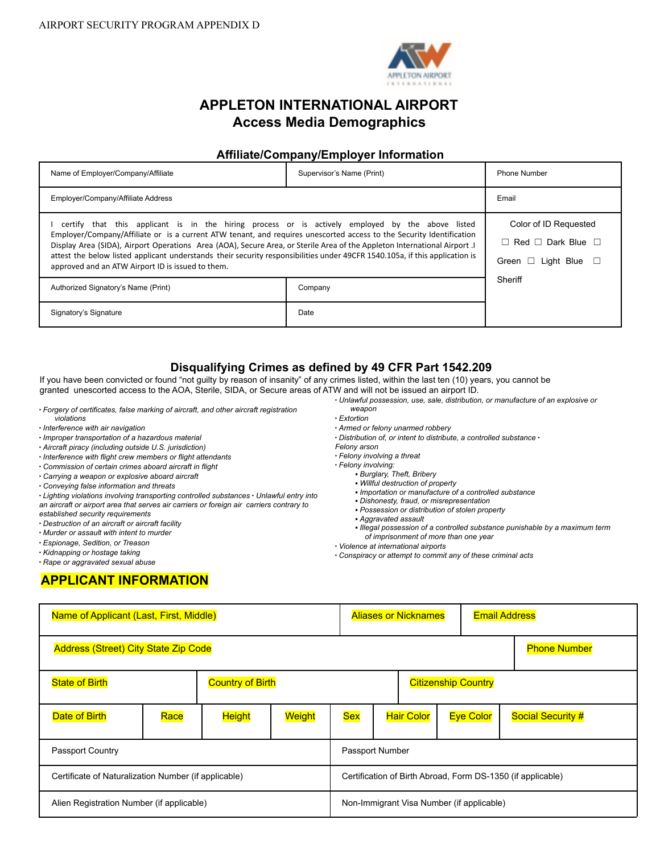

# **APPLETON INTERNATIONAL AIRPORT Access Media Demographics**

### **Affiliate/Company/Employer Information**

| Name of Employer/Company/Affiliate                                                                                                                                                                                                                                                                                                                                                                                                                                                                                                         | Supervisor's Name (Print)                                                               | <b>Phone Number</b> |  |
|--------------------------------------------------------------------------------------------------------------------------------------------------------------------------------------------------------------------------------------------------------------------------------------------------------------------------------------------------------------------------------------------------------------------------------------------------------------------------------------------------------------------------------------------|-----------------------------------------------------------------------------------------|---------------------|--|
| Employer/Company/Affiliate Address                                                                                                                                                                                                                                                                                                                                                                                                                                                                                                         | Email                                                                                   |                     |  |
| certify that this applicant is in the hiring process or is actively employed by the above listed<br>Employer/Company/Affiliate or is a current ATW tenant, and requires unescorted access to the Security Identification<br>Display Area (SIDA), Airport Operations Area (AOA), Secure Area, or Sterile Area of the Appleton International Airport . I<br>attest the below listed applicant understands their security responsibilities under 49CFR 1540.105a, if this application is<br>approved and an ATW Airport ID is issued to them. | Color of ID Requested<br>Red $\Box$ Dark Blue $\Box$<br>П<br>Light Blue<br>Green $\Box$ |                     |  |
| Authorized Signatory's Name (Print)                                                                                                                                                                                                                                                                                                                                                                                                                                                                                                        | Company                                                                                 | Sheriff             |  |
| Signatory's Signature                                                                                                                                                                                                                                                                                                                                                                                                                                                                                                                      | Date                                                                                    |                     |  |

## **Disqualifying Crimes as defined by 49 CFR Part 1542.209**

If you have been convicted or found "not guilty by reason of insanity" of any crimes listed, within the last ten (10) years, you cannot be granted unescorted access to the AOA, Sterile, SIDA, or Secure areas of ATW and will not be issued an airport ID.

- ∙ *Forgery of certificates, false marking of aircraft, and other aircraft registration*
- *violations* ∙ *Interference with air navigation*
- ∙ *Improper transportation of a hazardous material*
- ∙ *Aircraft piracy (including outside U.S. jurisdiction)*
- ∙ *Interference with flight crew members or flight attendants*
- ∙ *Commission of certain crimes aboard aircraft in flight*
- ∙ *Carrying a weapon or explosive aboard aircraft*
- 
- ∙ *Conveying false information and threats*

∙ *Lighting violations involving transporting controlled substances* ∙ *Unlawful entry into an aircraft or airport area that serves air carriers or foreign air carriers contrary to*

- *established security requirements*
- ∙ *Destruction of an aircraft or aircraft facility*
- ∙ *Murder or assault with intent to murder*
- ∙ *Espionage, Sedition, or Treason*
- ∙ *Kidnapping or hostage taking*
- ∙ *Rape or aggravated sexual abuse*

# **APPLICANT INFORMATION**

- *weapon* ∙ *Extortion*
- ∙ *Armed or felony unarmed robbery*
- ∙ *Distribution of, or intent to distribute, a controlled substance* ∙
- *Felony arson*
- ∙ *Felony involving a threat*
- ∙ *Felony involving:*
	- *Burglary, Theft, Bribery*
	- *Willful destruction of property*
	- *Importation or manufacture of a controlled substance*

∙ *Unlawful possession, use, sale, distribution, or manufacture of an explosive or*

- *Dishonesty, fraud, or misrepresentation*
- *Possession or distribution of stolen property*
- *Aggravated assault*
- *Illegal possession of a controlled substance punishable by a maximum term of imprisonment of more than one year*
- ∙ *Violence at international airports*
- ∙ *Conspiracy or attempt to commit any of these criminal acts*

| Name of Applicant (Last, First, Middle)                            |      |               |                                                             |            | <b>Aliases or Nicknames</b> |  |  | <b>Email Address</b> |                          |
|--------------------------------------------------------------------|------|---------------|-------------------------------------------------------------|------------|-----------------------------|--|--|----------------------|--------------------------|
| <b>Address (Street) City State Zip Code</b><br><b>Phone Number</b> |      |               |                                                             |            |                             |  |  |                      |                          |
| <b>Country of Birth</b><br><b>State of Birth</b>                   |      |               | <b>Citizenship Country</b>                                  |            |                             |  |  |                      |                          |
| Date of Birth                                                      | Race | <b>Height</b> | Weight                                                      | <b>Sex</b> | <b>Hair Color</b>           |  |  | <b>Eye Color</b>     | <b>Social Security #</b> |
| Passport Country                                                   |      |               | Passport Number                                             |            |                             |  |  |                      |                          |
| Certificate of Naturalization Number (if applicable)               |      |               | Certification of Birth Abroad, Form DS-1350 (if applicable) |            |                             |  |  |                      |                          |
| Alien Registration Number (if applicable)                          |      |               | Non-Immigrant Visa Number (if applicable)                   |            |                             |  |  |                      |                          |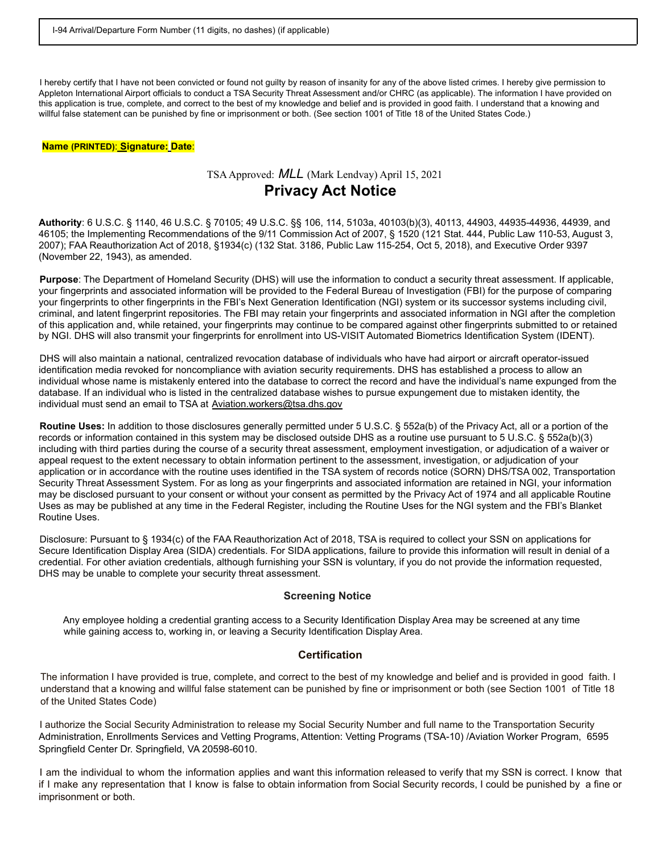I hereby certify that I have not been convicted or found not guilty by reason of insanity for any of the above listed crimes. I hereby give permission to Appleton International Airport officials to conduct a TSA Security Threat Assessment and/or CHRC (as applicable). The information I have provided on this application is true, complete, and correct to the best of my knowledge and belief and is provided in good faith. I understand that a knowing and willful false statement can be punished by fine or imprisonment or both. (See section 1001 of Title 18 of the United States Code.)

#### **Name (PRINTED)**: **Signature: Date**:

### TSAApproved: *MLL* (Mark Lendvay) April 15, 2021

# **Privacy Act Notice**

**Authority**: 6 U.S.C. § 1140, 46 U.S.C. § 70105; 49 U.S.C. §§ 106, 114, 5103a, 40103(b)(3), 40113, 44903, 44935-44936, 44939, and 46105; the Implementing Recommendations of the 9/11 Commission Act of 2007, § 1520 (121 Stat. 444, Public Law 110-53, August 3, 2007); FAA Reauthorization Act of 2018, §1934(c) (132 Stat. 3186, Public Law 115-254, Oct 5, 2018), and Executive Order 9397 (November 22, 1943), as amended.

**Purpose**: The Department of Homeland Security (DHS) will use the information to conduct a security threat assessment. If applicable, your fingerprints and associated information will be provided to the Federal Bureau of Investigation (FBI) for the purpose of comparing your fingerprints to other fingerprints in the FBI's Next Generation Identification (NGI) system or its successor systems including civil, criminal, and latent fingerprint repositories. The FBI may retain your fingerprints and associated information in NGI after the completion of this application and, while retained, your fingerprints may continue to be compared against other fingerprints submitted to or retained by NGI. DHS will also transmit your fingerprints for enrollment into US-VISIT Automated Biometrics Identification System (IDENT).

DHS will also maintain a national, centralized revocation database of individuals who have had airport or aircraft operator-issued identification media revoked for noncompliance with aviation security requirements. DHS has established a process to allow an individual whose name is mistakenly entered into the database to correct the record and have the individual's name expunged from the database. If an individual who is listed in the centralized database wishes to pursue expungement due to mistaken identity, the individual must send an email to TSA at Aviation.workers@tsa.dhs.gov

**Routine Uses:** In addition to those disclosures generally permitted under 5 U.S.C. § 552a(b) of the Privacy Act, all or a portion of the records or information contained in this system may be disclosed outside DHS as a routine use pursuant to 5 U.S.C. § 552a(b)(3) including with third parties during the course of a security threat assessment, employment investigation, or adjudication of a waiver or appeal request to the extent necessary to obtain information pertinent to the assessment, investigation, or adjudication of your application or in accordance with the routine uses identified in the TSA system of records notice (SORN) DHS/TSA 002, Transportation Security Threat Assessment System. For as long as your fingerprints and associated information are retained in NGI, your information may be disclosed pursuant to your consent or without your consent as permitted by the Privacy Act of 1974 and all applicable Routine Uses as may be published at any time in the Federal Register, including the Routine Uses for the NGI system and the FBI's Blanket Routine Uses.

Disclosure: Pursuant to § 1934(c) of the FAA Reauthorization Act of 2018, TSA is required to collect your SSN on applications for Secure Identification Display Area (SIDA) credentials. For SIDA applications, failure to provide this information will result in denial of a credential. For other aviation credentials, although furnishing your SSN is voluntary, if you do not provide the information requested, DHS may be unable to complete your security threat assessment.

#### **Screening Notice**

Any employee holding a credential granting access to a Security Identification Display Area may be screened at any time while gaining access to, working in, or leaving a Security Identification Display Area.

### **Certification**

The information I have provided is true, complete, and correct to the best of my knowledge and belief and is provided in good faith. I understand that a knowing and willful false statement can be punished by fine or imprisonment or both (see Section 1001 of Title 18 of the United States Code)

I authorize the Social Security Administration to release my Social Security Number and full name to the Transportation Security Administration, Enrollments Services and Vetting Programs, Attention: Vetting Programs (TSA-10) /Aviation Worker Program, 6595 Springfield Center Dr. Springfield, VA 20598-6010.

I am the individual to whom the information applies and want this information released to verify that my SSN is correct. I know that if I make any representation that I know is false to obtain information from Social Security records, I could be punished by a fine or imprisonment or both.